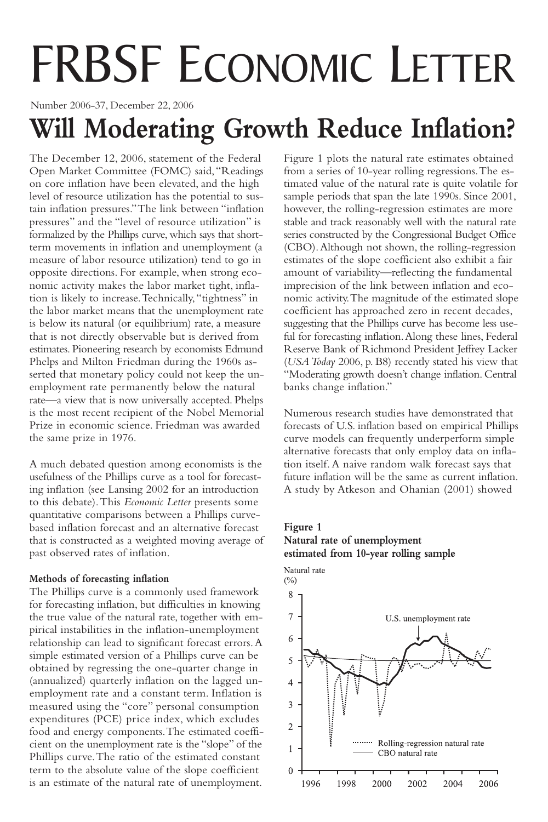# FRBSF ECONOMIC LETTER

Number 2006-37, December 22, 2006

# **Will Moderating Growth Reduce Inflation?**

The December 12, 2006, statement of the Federal Open Market Committee (FOMC) said,"Readings on core inflation have been elevated, and the high level of resource utilization has the potential to sustain inflation pressures."The link between "inflation pressures" and the "level of resource utilization" is formalized by the Phillips curve, which says that shortterm movements in inflation and unemployment (a measure of labor resource utilization) tend to go in opposite directions. For example, when strong economic activity makes the labor market tight, inflation is likely to increase.Technically,"tightness" in the labor market means that the unemployment rate is below its natural (or equilibrium) rate, a measure that is not directly observable but is derived from estimates. Pioneering research by economists Edmund Phelps and Milton Friedman during the 1960s asserted that monetary policy could not keep the unemployment rate permanently below the natural rate—a view that is now universally accepted. Phelps is the most recent recipient of the Nobel Memorial Prize in economic science. Friedman was awarded the same prize in 1976.

A much debated question among economists is the usefulness of the Phillips curve as a tool for forecasting inflation (see Lansing 2002 for an introduction to this debate).This *Economic Letter* presents some quantitative comparisons between a Phillips curvebased inflation forecast and an alternative forecast that is constructed as a weighted moving average of past observed rates of inflation.

### **Methods of forecasting inflation**

The Phillips curve is a commonly used framework for forecasting inflation, but difficulties in knowing the true value of the natural rate, together with empirical instabilities in the inflation-unemployment relationship can lead to significant forecast errors.A simple estimated version of a Phillips curve can be obtained by regressing the one-quarter change in (annualized) quarterly inflation on the lagged unemployment rate and a constant term. Inflation is measured using the "core" personal consumption expenditures (PCE) price index, which excludes food and energy components.The estimated coefficient on the unemployment rate is the "slope" of the Phillips curve.The ratio of the estimated constant term to the absolute value of the slope coefficient is an estimate of the natural rate of unemployment.

Figure 1 plots the natural rate estimates obtained from a series of 10-year rolling regressions.The estimated value of the natural rate is quite volatile for sample periods that span the late 1990s. Since 2001, however, the rolling-regression estimates are more stable and track reasonably well with the natural rate series constructed by the Congressional Budget Office (CBO).Although not shown, the rolling-regression estimates of the slope coefficient also exhibit a fair amount of variability—reflecting the fundamental imprecision of the link between inflation and economic activity.The magnitude of the estimated slope coefficient has approached zero in recent decades, suggesting that the Phillips curve has become less useful for forecasting inflation.Along these lines, Federal Reserve Bank of Richmond President Jeffrey Lacker (*USA Today* 2006, p. B8) recently stated his view that "Moderating growth doesn't change inflation. Central banks change inflation."

Numerous research studies have demonstrated that forecasts of U.S. inflation based on empirical Phillips curve models can frequently underperform simple alternative forecasts that only employ data on inflation itself. A naive random walk forecast says that future inflation will be the same as current inflation. A study by Atkeson and Ohanian (2001) showed

## **Figure 1 Natural rate of unemployment estimated from 10-year rolling sample**

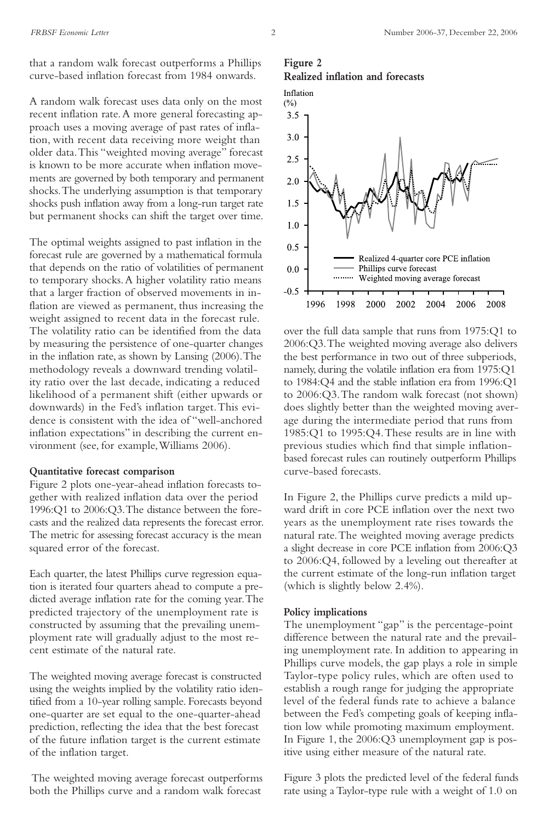that a random walk forecast outperforms a Phillips curve-based inflation forecast from 1984 onwards.

A random walk forecast uses data only on the most recent inflation rate.A more general forecasting approach uses a moving average of past rates of inflation, with recent data receiving more weight than older data.This "weighted moving average" forecast is known to be more accurate when inflation movements are governed by both temporary and permanent shocks.The underlying assumption is that temporary shocks push inflation away from a long-run target rate but permanent shocks can shift the target over time.

The optimal weights assigned to past inflation in the forecast rule are governed by a mathematical formula that depends on the ratio of volatilities of permanent to temporary shocks.A higher volatility ratio means that a larger fraction of observed movements in inflation are viewed as permanent, thus increasing the weight assigned to recent data in the forecast rule. The volatility ratio can be identified from the data by measuring the persistence of one-quarter changes in the inflation rate, as shown by Lansing (2006).The methodology reveals a downward trending volatility ratio over the last decade, indicating a reduced likelihood of a permanent shift (either upwards or downwards) in the Fed's inflation target.This evidence is consistent with the idea of "well-anchored inflation expectations" in describing the current environment (see, for example,Williams 2006).

#### **Quantitative forecast comparison**

Figure 2 plots one-year-ahead inflation forecasts together with realized inflation data over the period 1996:Q1 to 2006:Q3.The distance between the forecasts and the realized data represents the forecast error. The metric for assessing forecast accuracy is the mean squared error of the forecast.

Each quarter, the latest Phillips curve regression equation is iterated four quarters ahead to compute a predicted average inflation rate for the coming year.The predicted trajectory of the unemployment rate is constructed by assuming that the prevailing unemployment rate will gradually adjust to the most recent estimate of the natural rate.

The weighted moving average forecast is constructed using the weights implied by the volatility ratio identified from a 10-year rolling sample. Forecasts beyond one-quarter are set equal to the one-quarter-ahead prediction, reflecting the idea that the best forecast of the future inflation target is the current estimate of the inflation target.

The weighted moving average forecast outperforms both the Phillips curve and a random walk forecast

#### **Figure 2 Realized inflation and forecasts**



over the full data sample that runs from 1975:Q1 to 2006:Q3.The weighted moving average also delivers the best performance in two out of three subperiods, namely, during the volatile inflation era from 1975:Q1 to 1984:Q4 and the stable inflation era from 1996:Q1 to 2006:Q3.The random walk forecast (not shown) does slightly better than the weighted moving average during the intermediate period that runs from 1985:Q1 to 1995:Q4.These results are in line with previous studies which find that simple inflationbased forecast rules can routinely outperform Phillips curve-based forecasts.

In Figure 2, the Phillips curve predicts a mild upward drift in core PCE inflation over the next two years as the unemployment rate rises towards the natural rate.The weighted moving average predicts a slight decrease in core PCE inflation from 2006:Q3 to 2006:Q4, followed by a leveling out thereafter at the current estimate of the long-run inflation target (which is slightly below 2.4%).

#### **Policy implications**

The unemployment "gap" is the percentage-point difference between the natural rate and the prevailing unemployment rate. In addition to appearing in Phillips curve models, the gap plays a role in simple Taylor-type policy rules, which are often used to establish a rough range for judging the appropriate level of the federal funds rate to achieve a balance between the Fed's competing goals of keeping inflation low while promoting maximum employment. In Figure 1, the 2006:Q3 unemployment gap is positive using either measure of the natural rate.

Figure 3 plots the predicted level of the federal funds rate using a Taylor-type rule with a weight of 1.0 on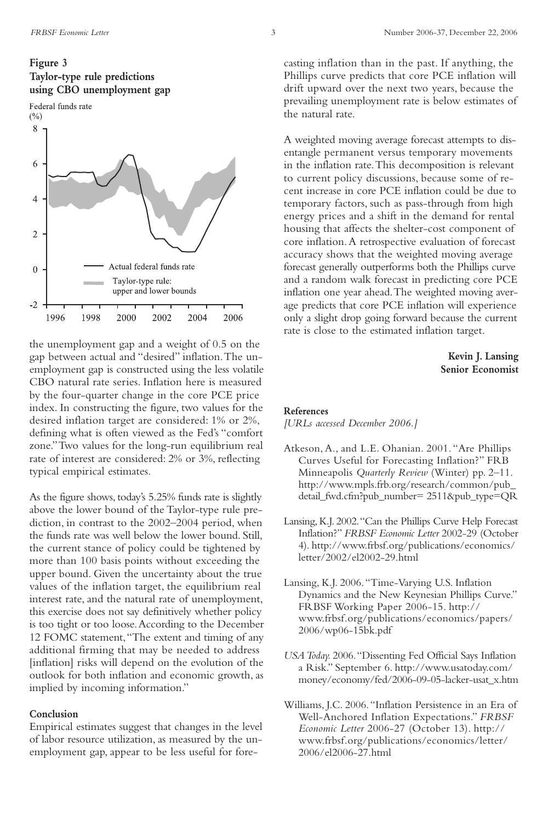

the unemployment gap and a weight of 0.5 on the gap between actual and "desired" inflation.The unemployment gap is constructed using the less volatile CBO natural rate series. Inflation here is measured by the four-quarter change in the core PCE price index. In constructing the figure, two values for the desired inflation target are considered: 1% or 2%, defining what is often viewed as the Fed's "comfort zone."Two values for the long-run equilibrium real rate of interest are considered: 2% or 3%, reflecting typical empirical estimates.

As the figure shows, today's 5.25% funds rate is slightly above the lower bound of the Taylor-type rule prediction, in contrast to the 2002–2004 period, when the funds rate was well below the lower bound. Still, the current stance of policy could be tightened by more than 100 basis points without exceeding the upper bound. Given the uncertainty about the true values of the inflation target, the equilibrium real interest rate, and the natural rate of unemployment, this exercise does not say definitively whether policy is too tight or too loose.According to the December 12 FOMC statement,"The extent and timing of any additional firming that may be needed to address [inflation] risks will depend on the evolution of the outlook for both inflation and economic growth, as implied by incoming information."

#### **Conclusion**

Empirical estimates suggest that changes in the level of labor resource utilization, as measured by the unemployment gap, appear to be less useful for forecasting inflation than in the past. If anything, the Phillips curve predicts that core PCE inflation will drift upward over the next two years, because the prevailing unemployment rate is below estimates of the natural rate.

A weighted moving average forecast attempts to disentangle permanent versus temporary movements in the inflation rate.This decomposition is relevant to current policy discussions, because some of recent increase in core PCE inflation could be due to temporary factors, such as pass-through from high energy prices and a shift in the demand for rental housing that affects the shelter-cost component of core inflation.A retrospective evaluation of forecast accuracy shows that the weighted moving average forecast generally outperforms both the Phillips curve and a random walk forecast in predicting core PCE inflation one year ahead.The weighted moving average predicts that core PCE inflation will experience only a slight drop going forward because the current rate is close to the estimated inflation target.

> **Kevin J. Lansing Senior Economist**

#### **References**

*[URLs accessed December 2006.]*

- Atkeson,A., and L.E. Ohanian. 2001. "Are Phillips Curves Useful for Forecasting Inflation?" FRB Minneapolis *Quarterly Review* (Winter) pp. 2–11. http://www.mpls.frb.org/research/common/pub\_ detail\_fwd.cfm?pub\_number= 2511&pub\_type=QR
- Lansing, K.J. 2002."Can the Phillips Curve Help Forecast Inflation?" *FRBSF Economic Letter* 2002-29 (October 4). http://www.frbsf.org/publications/economics/ letter/2002/el2002-29.html
- Lansing, K.J. 2006."Time-Varying U.S. Inflation Dynamics and the New Keynesian Phillips Curve." FRBSF Working Paper 2006-15. http:// www.frbsf.org/publications/economics/papers/ 2006/wp06-15bk.pdf
- *USA Today.* 2006."Dissenting Fed Official Says Inflation a Risk." September 6. http://www.usatoday.com/ money/economy/fed/2006-09-05-lacker-usat\_x.htm
- Williams, J.C. 2006."Inflation Persistence in an Era of Well-Anchored Inflation Expectations." *FRBSF Economic Letter* 2006-27 (October 13). http:// www.frbsf.org/publications/economics/letter/ 2006/el2006-27.html